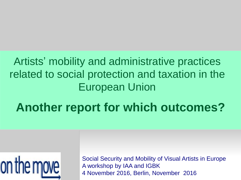#### Artists' mobility and administrative practices related to social protection and taxation in the European Union

## **Another report for which outcomes?**



Social Security and Mobility of Visual Artists in Europe A workshop by IAA and IGBK 4 November 2016, Berlin, November 2016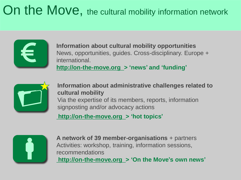## On the Move, the cultural mobility information network



**Information about cultural mobility opportunities** News, opportunities, guides. Cross-disciplinary. Europe + international. **http://on-the-move.org > 'news' and 'funding'**



**Information about administrative challenges related to cultural mobility** Via the expertise of its members, reports, information signposting and/or advocacy actions

**http://on-the-move.org > 'hot topics'**



**A network of 39 member-organisations** + partners Activities: workshop, training, information sessions, recommendations **http://on-the-move.org > 'On the Move's own news'**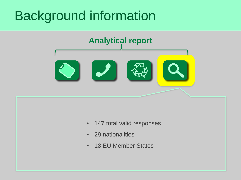

- 147 total valid responses
- 29 nationalities
- 18 EU Member States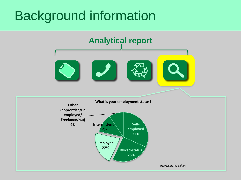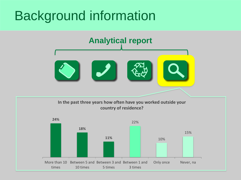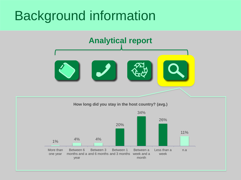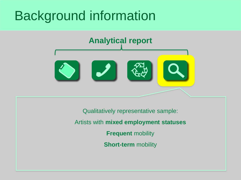

Qualitatively representative sample: Artists with **mixed employment statuses Frequent** mobility **Short-term** mobility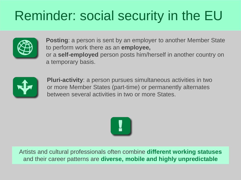# Reminder: social security in the EU



**Posting**: a person is sent by an employer to another Member State to perform work there as an **employee,**  or a **self-employed** person posts him/herself in another country on a temporary basis.



**Pluri-activity**: a person pursues simultaneous activities in two or more Member States (part-time) or permanently alternates between several activities in two or more States.



Artists and cultural professionals often combine **different working statuses**  and their career patterns are **diverse, mobile and highly unpredictable**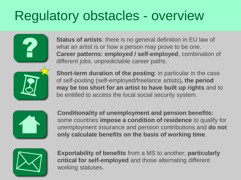### Regulatory obstacles - overview



**Status of artists**: there is no general definition in EU law of what an artist is or how a person may prove to be one. **Career patterns: employed / self-employed**, combination of different jobs, unpredictable career paths.



**Short-term duration of the posting**: in particular in the case of self-posting (self-employed/freelance artists)**, the period may be too short for an artist to have built up rights** and to be entitled to access the local social security system.



**Conditionality of unemployment and pension benefits:**  some countries **impose a condition of residence** to qualify for unemployment insurance and pension contributions and **do not only calculate benefits on the basis of working time**.



**Exportability of benefits** from a MS to another; **particularly critical for self-employed** and those alternating different working statuses.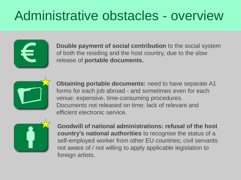#### Administrative obstacles - overview



**Double payment of social contribution** to the social system of both the residing and the host country, due to the slow release of **portable documents.**



**Obtaining portable documents:** need to have separate A1 forms for each job abroad - and sometimes even for each venue; expensive, time-consuming procedures. Documents not released on time; lack of relevant and efficient electronic service.



**Goodwill of national administrations: refusal of the host country's national authorities** to recognise the status of a self-employed worker from other EU countries; civil servants not aware of / not willing to apply applicable legislation to foreign artists.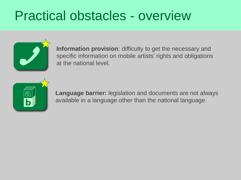#### Practical obstacles - overview



**Information provision**: difficulty to get the necessary and specific information on mobile artists' rights and obligations at the national level.



**Language barrier:** legislation and documents are not always available in a language other than the national language.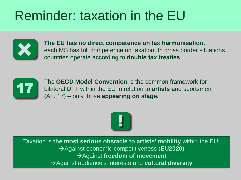## Reminder: taxation in the EU



**The EU has no direct competence on tax harmonisation**: each MS has full competence on taxation. In cross border situations countries operate according to **double tax treaties**.



The **OECD Model Convention** is the common framework for bilateral DTT within the EU in relation to **artists** and sportsmen (Art. 17) – only those **appearing on stage.** 



Taxation is **the most serious obstacle to artists' mobility** within the EU: Against economic competitiveness (**EU2020**) Against **freedom of movement** Against audience's interests and **cultural diversity**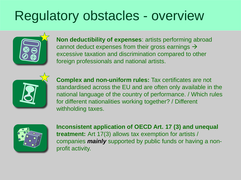#### Regulatory obstacles - overview



**Non deductibility of expenses**: artists performing abroad cannot deduct expenses from their gross earnings  $\rightarrow$ excessive taxation and discrimination compared to other foreign professionals and national artists.



**Complex and non-uniform rules:** Tax certificates are not standardised across the EU and are often only available in the national language of the country of performance. / Which rules for different nationalities working together? / Different withholding taxes.



**Inconsistent application of OECD Art. 17 (3) and unequal treatment:** Art 17(3) allows tax exemption for artists / companies *mainly* supported by public funds or having a nonprofit activity.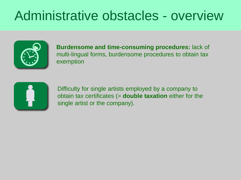#### Administrative obstacles - overview



**Burdensome and time-consuming procedures:** lack of multi-lingual forms, burdensome procedures to obtain tax exemption



Difficulty for single artists employed by a company to obtain tax certificates (= **double taxation** either for the single artist or the company).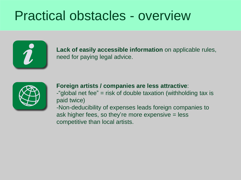#### Practical obstacles - overview



**Lack of easily accessible information** on applicable rules, need for paying legal advice.



**Foreign artists / companies are less attractive**: -"global net fee" = risk of double taxation (withholding tax is paid twice)

-Non-deducibility of expenses leads foreign companies to ask higher fees, so they're more expensive = less competitive than local artists.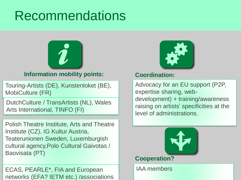#### Recommendations



#### **Information mobility points:**

Touring-Artists (DE), Kunstenloket (BE), MobiCulture (FR)

DutchCulture / TransArtists (NL), Wales Arts International, TINFO (FI)

Polish Theatre Institute, Arts and Theatre Institute (CZ), IG Kultur Austria, Teaterunionen Sweden, Luxemburgish cultural agency,Polo Cultural Gaivotas / Baovisata (PT)

ECAS, PEARLE\*, FIA and European networks (EFA? IETM etc.) /associations



#### **Coordination:**

Advocacy for an EU support (P2P, expertise sharing, webdevelopment) + training/awareness raising on artists' specificities at the level of administrations.



IAA members